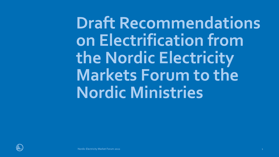**Draft Recommendations on Electrification from the Nordic Electricity Markets Forum to the Nordic Ministries**

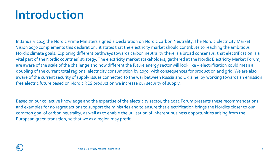#### **Introduction**

In January 2019 the Nordic Prime Ministers signed a Declaration on Nordic Carbon Neutrality. The Nordic Electricity Market Vision 2030 complements this declaration: it states that the electricity market should contribute to reaching the ambitious Nordic climate goals. Exploring different pathways towards carbon neutrality there is a broad consensus, that electrification is a vital part of the Nordic countries´ strategy. The electricity market stakeholders, gathered at the Nordic Electricity Market Forum, are aware of the scale of the challenge and how different the future energy sector will look like – electrification could mean a doubling of the current total regional electricity consumption by 2050, with consequences for production and grid. We are also aware of the current security of supply issues connected to the war between Russia and Ukraine: by working towards an emission free electric future based on Nordic RES production we increase our security of supply.

Based on our collective knowledge and the expertise of the electricity sector, the 2022 Forum presents these recommendations and examples for no regret actions to support the ministries and to ensure that electrification brings the Nordics closer to our common goal of carbon neutrality, as well as to enable the utilisation of inherent business opportunities arising from the European green transition, so that we as a region may profit.

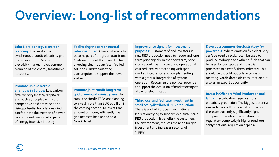## **Overview: Long-list of recommendations**

**Joint Nordic energy transition planning:** The reality of a synchronous Nordic electricity grid and an integrated Nordic electricity market makes common planning of the energy transition a necessity.

**Promote unique Nordic strengths in Europe:** Low carbon firm capacity from hydropower and nuclear, coupled with cost competitive onshore wind and a rising potential for offshore wind can facilitate the creation of power to x hubs and continued expansion of energy intensive industry.

**Facilitating the carbon neutral retail customer:** Allow customers to become part of the green transition. Customers should be rewarded for choosing electric over fossil fuelled solutions, and for adapting consumption to support the power system.

**Promote joint Nordic long term grid planning at ministry level:** In total, the Nordic TSOs are planning to invest more than EUR 25 billion in the coming decade. To invest that amount of money efficiently the grid needs to be planned on a Nordic level.

**Improve price signals for investment purposes:** Customers of and investors in new RES production need to hedge and long term price signals. In the short term, price signals could be improved and operational cost reduced by proceeding with spot marked integration and complementing it with a gradual integration of system operation. Recognize the political potential to support the evolution of market design to allow for electrification.

**Think local and facilitate investment in small scale/distributed RES production:**  There is a lot of European and national legislation trying to support local small scale RES production. It benefits the customers, the environment, reduces the need for grid investment and increases security of supply.

**Develop a common Nordic strategy for power to X:** Where emission free electricity can't be used directly, it can be used to produce hydrogen and other e-fuels that can be used for transport and industrial processes to electrify them indirectly. This should be thought not only in terms of meeting Nordic domestic consumption but also as an export opportunity.

**Invest in Offshore Wind Production and Grids:** Electrification requires more electricity production. The biggest potential seems to be in offshore wind but the cost there are currently significantly higher compared to onshore. In addition, the regulatory complexity is higher (onshore "only" national regulation applies).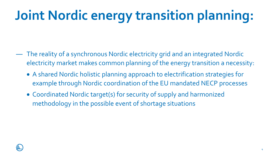# **Joint Nordic energy transition planning:**

- ― The reality of a synchronous Nordic electricity grid and an integrated Nordic electricity market makes common planning of the energy transition a necessity:
	- A shared Nordic holistic planning approach to electrification strategies for example through Nordic coordination of the EU mandated NECP processes
	- Coordinated Nordic target(s) for security of supply and harmonized methodology in the possible event of shortage situations

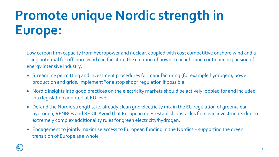## **Promote unique Nordic strength in Europe:**

- ― Low carbon firm capacity from hydropower and nuclear, coupled with cost competitive onshore wind and a rising potential for offshore wind can facilitate the creation of power to x hubs and continued expansion of energy intensive industry:
	- Streamline permitting and investment procedures for manufacturing (for example hydrogen), power production and grids. Implement "one stop shop" regulation if possible.
	- Nordic insights into good practices on the electricity markets should be actively lobbied for and included into legislation adopted at EU level
	- Defend the Nordic strengths, ie. already clean grid electricity mix in the EU regulation of green/clean hydrogen, RFNBOs and REDII. Avoid that European rules establish obstacles for clean investments due to extremely complex additionality rules for green electricity/hydrogen.
	- Engagement to jointly maximise access to European funding in the Nordics supporting the green transition of Europe as a whole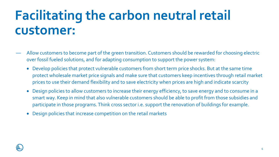#### **Facilitating the carbon neutral retail customer:**

- ― Allow customers to become part of the green transition. Customers should be rewarded for choosing electric over fossil fueled solutions, and for adapting consumption to support the power system:
	- Develop policies that protect vulnerable customers from short term price shocks. But at the same time protect wholesale market price signals and make sure that customers keep incentives through retail market prices to use their demand flexibility and to save electricity when prices are high and indicate scarcity
	- Design policies to allow customers to increase their energy efficiency, to save energy and to consume in a smart way. Keep in mind that also vulnerable customers should be able to profit from those subsidies and participate in those programs. Think cross sector i.e. support the renovation of buildings for example.
	- Design policies that increase competition on the retail markets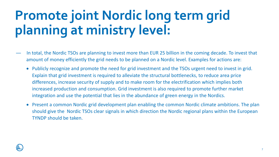## **Promote joint Nordic long term grid planning at ministry level:**

- ― In total, the Nordic TSOs are planning to invest more than EUR 25 billion in the coming decade. To invest that amount of money efficiently the grid needs to be planned on a Nordic level. Examples for actions are:
	- Publicly recognize and promote the need for grid investment and the TSOs urgent need to invest in grid. Explain that grid investment is required to alleviate the structural bottlenecks, to reduce area price differences, increase security of supply and to make room for the electrification which implies both increased production and consumption. Grid investment is also required to promote further market integration and use the potential that lies in the abundance of green energy in the Nordics.
	- Present a common Nordic grid development plan enabling the common Nordic climate ambitions. The plan should give the Nordic TSOs clear signals in which direction the Nordic regional plans within the European TYNDP should be taken.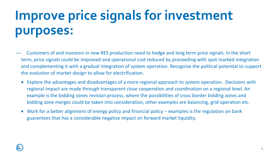## **Improve price signals for investment purposes:**

- ― Customers of and investors in new RES production need to hedge and long term price signals. In the short term, price signals could be improved and operational cost reduced by proceeding with spot marked integration and complementing it with a gradual integration of system operation. Recognize the political potential to support the evolution of market design to allow for electrification.
	- Explore the advantages and disadvantages of a more regional approach to system operation. Decisions with regional impact are made through transparent close cooperation and coordination on a regional level. An example is the bidding zones revision process, where the possibilities of cross border bidding zones and bidding zone merges could be taken into consideration, other examples are balancing, grid operation etc.
	- Work for a better alignment of energy policy and financial policy examples is the regulation on bank guarantees that has a considerable negative impact on forward market liquidity.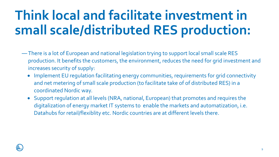## **Think local and facilitate investment in small scale/distributed RES production:**

- ―There is a lot of European and national legislation trying to support local small scale RES production. It benefits the customers, the environment, reduces the need for grid investment and increases security of supply:
	- Implement EU regulation facilitating energy communities, requirements for grid connectivity and net metering of small scale production (to facilitate take of of distributed RES) in a coordinated Nordic way.
	- Support regulation at all levels (NRA, national, European) that promotes and requires the digitalization of energy market IT systems to enable the markets and automatization, i.e. Datahubs for retail/flexiblity etc. Nordic countries are at different levels there.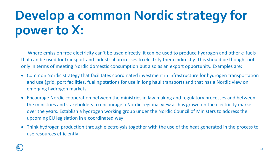#### **Develop a common Nordic strategy for power to X:**

- Where emission free electricity can't be used directly, it can be used to produce hydrogen and other e-fuels that can be used for transport and industrial processes to electrify them indirectly. This should be thought not only in terms of meeting Nordic domestic consumption but also as an export opportunity. Examples are:
- Common Nordic strategy that facilitates coordinated investment in infrastructure for hydrogen transportation and use (grid, port facilities, fueling stations for use in long haul transport) and that has a Nordic view on emerging hydrogen markets
- Encourage Nordic cooperation between the ministries in law making and regulatory processes and between the ministries and stakeholders to encourage a Nordic regional view as has grown on the electricity market over the years. Establish a hydrogen working group under the Nordic Council of Ministers to address the upcoming EU legislation in a coordinated way
- Think hydrogen production through electrolysis together with the use of the heat generated in the process to use resources efficiently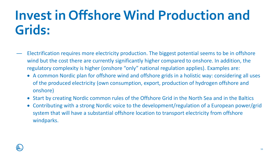#### **Invest in Offshore Wind Production and Grids:**

- Electrification requires more electricity production. The biggest potential seems to be in offshore wind but the cost there are currently significantly higher compared to onshore. In addition, the regulatory complexity is higher (onshore "only" national regulation applies). Examples are:
	- A common Nordic plan for offshore wind and offshore grids in a holistic way: considering all uses of the produced electricity (own consumption, export, production of hydrogen offshore and onshore)
	- Start by creating Nordic common rules of the Offshore Grid in the North Sea and in the Baltics
	- Contributing with a strong Nordic voice to the development/regulation of a European power/grid system that will have a substantial offshore location to transport electricity from offshore windparks.